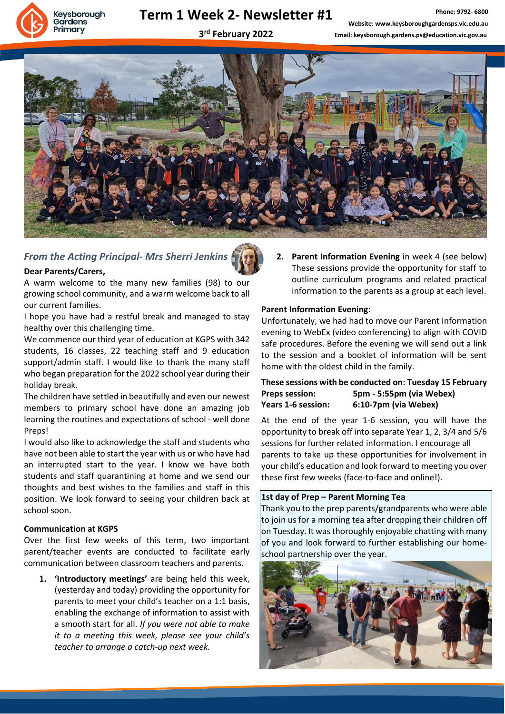# Keysborough Gardens rimary

# **Term 1 Week 2- Newsletter #1**

# **3 rd February 2022**



# *From the Acting Principal- Mrs Sherri Jenkins*



## **Dear Parents/Carers,**

A warm welcome to the many new families (98) to our growing school community, and a warm welcome back to all our current families.

I hope you have had a restful break and managed to stay healthy over this challenging time.

We commence our third year of education at KGPS with 342 students, 16 classes, 22 teaching staff and 9 education support/admin staff. I would like to thank the many staff who began preparation for the 2022 school year during their holiday break.

The children have settled in beautifully and even our newest members to primary school have done an amazing job learning the routines and expectations of school - well done Preps!

I would also like to acknowledge the staff and students who have not been able to start the year with us or who have had an interrupted start to the year. I know we have both students and staff quarantining at home and we send our thoughts and best wishes to the families and staff in this position. We look forward to seeing your children back at school soon.

#### **Communication at KGPS**

Over the first few weeks of this term, two important parent/teacher events are conducted to facilitate early communication between classroom teachers and parents.

**1. 'Introductory meetings'** are being held this week, (yesterday and today) providing the opportunity for parents to meet your child's teacher on a 1:1 basis, enabling the exchange of information to assist with a smooth start for all. *If you were not able to make it to a meeting this week, please see your child's teacher to arrange a catch-up next week.*

**2. Parent Information Evening** in week 4 (see below) These sessions provide the opportunity for staff to outline curriculum programs and related practical information to the parents as a group at each level.

## **Parent Information Evening**:

Unfortunately, we had had to move our Parent Information evening to WebEx (video conferencing) to align with COVID safe procedures. Before the evening we will send out a link to the session and a booklet of information will be sent home with the oldest child in the family.

#### **These sessions with be conducted on: Tuesday 15 February Preps session: 5pm - 5:55pm (via Webex) Years 1-6 session: 6:10-7pm (via Webex)**

At the end of the year 1-6 session, you will have the opportunity to break off into separate Year 1, 2, 3/4 and 5/6 sessions for further related information. I encourage all parents to take up these opportunities for involvement in your child's education and look forward to meeting you over these first few weeks (face-to-face and online!).

#### **1st day of Prep – Parent Morning Tea**

Thank you to the prep parents/grandparents who were able to join us for a morning tea after dropping their children off on Tuesday. It was thoroughly enjoyable chatting with many of you and look forward to further establishing our homeschool partnership over the year.

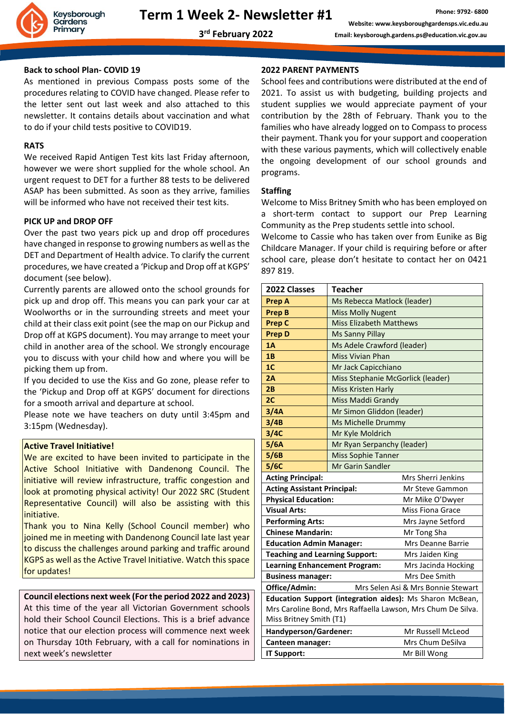

#### **Back to school Plan- COVID 19**

As mentioned in previous Compass posts some of the procedures relating to COVID have changed. Please refer to the letter sent out last week and also attached to this newsletter. It contains details about vaccination and what to do if your child tests positive to COVID19.

#### **RATS**

We received Rapid Antigen Test kits last Friday afternoon, however we were short supplied for the whole school. An urgent request to DET for a further 88 tests to be delivered ASAP has been submitted. As soon as they arrive, families will be informed who have not received their test kits.

#### **PICK UP and DROP OFF**

Over the past two years pick up and drop off procedures have changed in response to growing numbers as well as the DET and Department of Health advice. To clarify the current procedures, we have created a 'Pickup and Drop off at KGPS' document (see below).

Currently parents are allowed onto the school grounds for pick up and drop off. This means you can park your car at Woolworths or in the surrounding streets and meet your child at their class exit point (see the map on our Pickup and Drop off at KGPS document). You may arrange to meet your child in another area of the school. We strongly encourage you to discuss with your child how and where you will be picking them up from.

If you decided to use the Kiss and Go zone, please refer to the 'Pickup and Drop off at KGPS' document for directions for a smooth arrival and departure at school.

Please note we have teachers on duty until 3:45pm and 3:15pm (Wednesday).

#### **Active Travel Initiative!**

We are excited to have been invited to participate in the Active School Initiative with Dandenong Council. The initiative will review infrastructure, traffic congestion and look at promoting physical activity! Our 2022 SRC (Student Representative Council) will also be assisting with this initiative.

Thank you to Nina Kelly (School Council member) who joined me in meeting with Dandenong Council late last year to discuss the challenges around parking and traffic around KGPS as well as the Active Travel Initiative. Watch this space for updates!

## **Council elections next week (For the period 2022 and 2023)**  At this time of the year all Victorian Government schools hold their School Council Elections. This is a brief advance notice that our election process will commence next week on Thursday 10th February, with a call for nominations in next week's newsletter

#### **2022 PARENT PAYMENTS**

School fees and contributions were distributed at the end of 2021. To assist us with budgeting, building projects and student supplies we would appreciate payment of your contribution by the 28th of February. Thank you to the families who have already logged on to Compass to process their payment. Thank you for your support and cooperation with these various payments, which will collectively enable the ongoing development of our school grounds and programs.

#### **Staffing**

Welcome to Miss Britney Smith who has been employed on a short-term contact to support our Prep Learning Community as the Prep students settle into school.

Welcome to Cassie who has taken over from Eunike as Big Childcare Manager. If your child is requiring before or after school care, please don't hesitate to contact her on 0421 897 819.

| 2022 Classes                                                | <b>Teacher</b>                    |                         |  |
|-------------------------------------------------------------|-----------------------------------|-------------------------|--|
| <b>Prep A</b>                                               | Ms Rebecca Matlock (leader)       |                         |  |
| <b>Prep B</b>                                               | <b>Miss Molly Nugent</b>          |                         |  |
| <b>Prep C</b>                                               | <b>Miss Elizabeth Matthews</b>    |                         |  |
| <b>Prep D</b>                                               | <b>Ms Sanny Pillay</b>            |                         |  |
| 1A                                                          | Ms Adele Crawford (leader)        |                         |  |
| 1B                                                          | <b>Miss Vivian Phan</b>           |                         |  |
| 1 <sub>C</sub>                                              | Mr Jack Capicchiano               |                         |  |
| 2A                                                          | Miss Stephanie McGorlick (leader) |                         |  |
| 2B                                                          | <b>Miss Kristen Harly</b>         |                         |  |
| 2C                                                          | Miss Maddi Grandy                 |                         |  |
| 3/4A                                                        | Mr Simon Gliddon (leader)         |                         |  |
| 3/4B                                                        | Ms Michelle Drummy                |                         |  |
| 3/4C                                                        | Mr Kyle Moldrich                  |                         |  |
| 5/6A                                                        | Mr Ryan Serpanchy (leader)        |                         |  |
| 5/6B                                                        | <b>Miss Sophie Tanner</b>         |                         |  |
| 5/6C                                                        | Mr Garin Sandler                  |                         |  |
| <b>Acting Principal:</b>                                    |                                   | Mrs Sherri Jenkins      |  |
| <b>Acting Assistant Principal:</b>                          |                                   | Mr Steve Gammon         |  |
| <b>Physical Education:</b>                                  |                                   | Mr Mike O'Dwyer         |  |
| <b>Visual Arts:</b>                                         |                                   | <b>Miss Fiona Grace</b> |  |
| <b>Performing Arts:</b>                                     |                                   | Mrs Jayne Setford       |  |
| <b>Chinese Mandarin:</b>                                    |                                   | Mr Tong Sha             |  |
| <b>Education Admin Manager:</b>                             |                                   | Mrs Deanne Barrie       |  |
| <b>Teaching and Learning Support:</b>                       |                                   | Mrs Jaiden King         |  |
| <b>Learning Enhancement Program:</b>                        |                                   | Mrs Jacinda Hocking     |  |
| <b>Business manager:</b>                                    |                                   | Mrs Dee Smith           |  |
| Office/Admin:<br>Mrs Selen Asi & Mrs Bonnie Stewart         |                                   |                         |  |
| Education Support (integration aides): Ms Sharon McBean,    |                                   |                         |  |
| Mrs Caroline Bond, Mrs Raffaella Lawson, Mrs Chum De Silva. |                                   |                         |  |
| Miss Britney Smith (T1)                                     |                                   |                         |  |
| Handyperson/Gardener:                                       |                                   | Mr Russell McLeod       |  |
| Canteen manager:                                            |                                   | Mrs Chum DeSilva        |  |
| IT Support:                                                 |                                   | Mr Bill Wong            |  |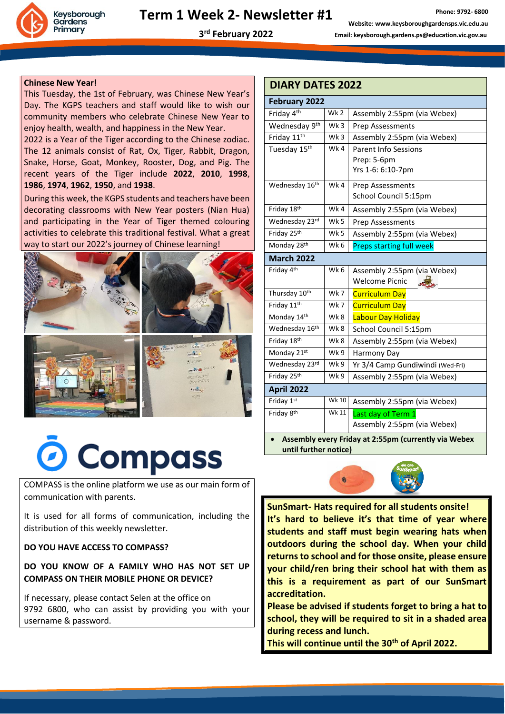

## **3 rd February 2022**

#### **Chinese New Year!**

This Tuesday, the 1st of February, was Chinese New Year's Day. The KGPS teachers and staff would like to wish our community members who celebrate Chinese New Year to enjoy health, wealth, and happiness in the New Year.

2022 is a Year of the Tiger according to the Chinese zodiac. The 12 animals consist of Rat, Ox, Tiger, Rabbit, Dragon, Snake, Horse, Goat, Monkey, Rooster, Dog, and Pig. The recent years of the Tiger include **2022**, **2010**, **1998**, **1986**, **1974**, **1962**, **1950**, and **1938**.

During this week, the KGPS students and teachers have been decorating classrooms with New Year posters (Nian Hua) and participating in the Year of Tiger themed colouring activities to celebrate this traditional festival. What a great way to start our 2022's journey of Chinese learning!



# O Compass

COMPASS is the online platform we use as our main form of communication with parents.

It is used for all forms of communication, including the distribution of this weekly newsletter.

**DO YOU HAVE ACCESS TO COMPASS?** 

**DO YOU KNOW OF A FAMILY WHO HAS NOT SET UP COMPASS ON THEIR MOBILE PHONE OR DEVICE?**

If necessary, please contact Selen at the office on 9792 6800, who can assist by providing you with your username & password.

| <b>DIARY DATES 2022</b>                              |       |                                  |  |  |
|------------------------------------------------------|-------|----------------------------------|--|--|
| <b>February 2022</b>                                 |       |                                  |  |  |
| Friday 4 <sup>th</sup>                               | Wk 2  | Assembly 2:55pm (via Webex)      |  |  |
| Wednesday 9 <sup>th</sup>                            | Wk 3  | Prep Assessments                 |  |  |
| Friday 11 <sup>th</sup>                              | Wk3   | Assembly 2:55pm (via Webex)      |  |  |
| Tuesday 15th                                         | Wk4   | <b>Parent Info Sessions</b>      |  |  |
|                                                      |       | Prep: 5-6pm                      |  |  |
|                                                      |       | Yrs 1-6: 6:10-7pm                |  |  |
| Wednesday 16th                                       | Wk4   | Prep Assessments                 |  |  |
|                                                      |       | School Council 5:15pm            |  |  |
| Friday 18th                                          | Wk4   | Assembly 2:55pm (via Webex)      |  |  |
| Wednesday 23rd                                       | Wk 5  | Prep Assessments                 |  |  |
| Friday 25 <sup>th</sup>                              | Wk 5  | Assembly 2:55pm (via Webex)      |  |  |
| Monday 28th                                          | Wk 6  | <b>Preps starting full week</b>  |  |  |
| <b>March 2022</b>                                    |       |                                  |  |  |
| Friday 4th                                           | Wk 6  | Assembly 2:55pm (via Webex)      |  |  |
|                                                      |       | <b>Welcome Picnic</b>            |  |  |
| Thursday 10th                                        | Wk 7  | <b>Curriculum Day</b>            |  |  |
| Friday 11th                                          | Wk7   | <b>Curriculum Day</b>            |  |  |
| Monday 14th                                          | Wk 8  | Labour Day Holiday               |  |  |
| Wednesday 16th                                       | Wk 8  | School Council 5:15pm            |  |  |
| Friday 18th                                          | Wk8   | Assembly 2:55pm (via Webex)      |  |  |
| Monday 21st                                          | Wk 9  | Harmony Day                      |  |  |
| Wednesday 23rd                                       | Wk 9  | Yr 3/4 Camp Gundiwindi (Wed-Fri) |  |  |
| Friday 25th                                          | Wk 9  | Assembly 2:55pm (via Webex)      |  |  |
| <b>April 2022</b>                                    |       |                                  |  |  |
| Friday 1st                                           | Wk 10 | Assembly 2:55pm (via Webex)      |  |  |
| Friday 8 <sup>th</sup>                               | Wk 11 | Last day of Term 1               |  |  |
|                                                      |       | Assembly 2:55pm (via Webex)      |  |  |
| Assembly every Friday at 2:55pm (currently via Webex |       |                                  |  |  |

**until further notice)**



**SunSmart- Hats required for all students onsite! It's hard to believe it's that time of year where students and staff must begin wearing hats when outdoors during the school day. When your child returns to school and for those onsite, please ensure your child/ren bring their school hat with them as this is a requirement as part of our SunSmart accreditation.** 

**Please be advised if students forget to bring a hat to school, they will be required to sit in a shaded area during recess and lunch.**

**This will continue until the 30th of April 2022.**